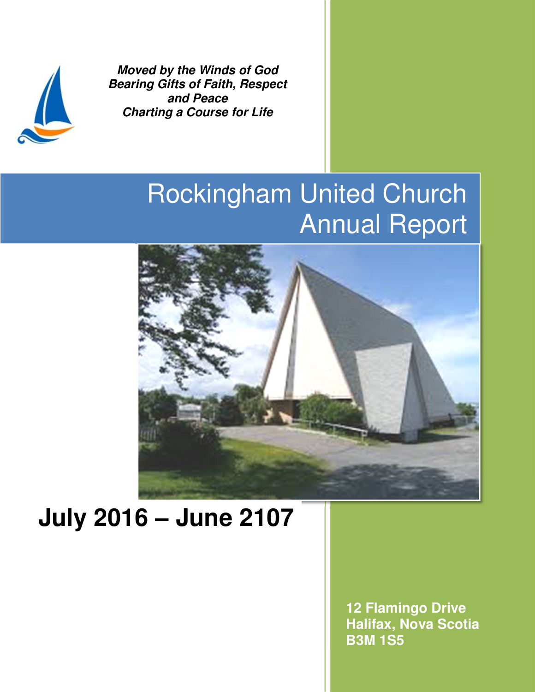

**Moved by the Winds of God Bearing Gifts of Faith, Respect and Peace Charting a Course for Life** 

# Rockingham United Church Annual Report



# **July 2016 – June 2107**

**12 Flamingo Drive Halifax, Nova Scotia B3M 1S5**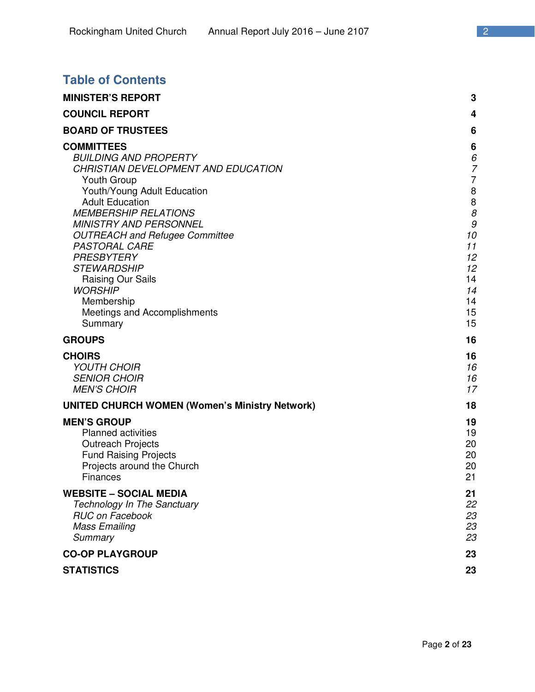# **Table of Contents**

| <b>MINISTER'S REPORT</b>                                                                                                                                                                                                                                                                                                                                                                                                                     | 3                                                                                                                                      |
|----------------------------------------------------------------------------------------------------------------------------------------------------------------------------------------------------------------------------------------------------------------------------------------------------------------------------------------------------------------------------------------------------------------------------------------------|----------------------------------------------------------------------------------------------------------------------------------------|
| <b>COUNCIL REPORT</b>                                                                                                                                                                                                                                                                                                                                                                                                                        | 4                                                                                                                                      |
| <b>BOARD OF TRUSTEES</b>                                                                                                                                                                                                                                                                                                                                                                                                                     | 6                                                                                                                                      |
| <b>COMMITTEES</b><br><b>BUILDING AND PROPERTY</b><br>CHRISTIAN DEVELOPMENT AND EDUCATION<br>Youth Group<br>Youth/Young Adult Education<br><b>Adult Education</b><br><b>MEMBERSHIP RELATIONS</b><br><b>MINISTRY AND PERSONNEL</b><br><b>OUTREACH and Refugee Committee</b><br><b>PASTORAL CARE</b><br><b>PRESBYTERY</b><br><b>STEWARDSHIP</b><br>Raising Our Sails<br><b>WORSHIP</b><br>Membership<br>Meetings and Accomplishments<br>Summary | 6<br>6<br>7<br>$\overline{7}$<br>$\begin{array}{c} 8 \\ 8 \end{array}$<br>8<br>9<br>10<br>11<br>12<br>12<br>14<br>14<br>14<br>15<br>15 |
| <b>GROUPS</b>                                                                                                                                                                                                                                                                                                                                                                                                                                | 16                                                                                                                                     |
| <b>CHOIRS</b><br><b>YOUTH CHOIR</b><br><b>SENIOR CHOIR</b><br><b>MEN'S CHOIR</b>                                                                                                                                                                                                                                                                                                                                                             | 16<br>16<br>16<br>17                                                                                                                   |
| <b>UNITED CHURCH WOMEN (Women's Ministry Network)</b>                                                                                                                                                                                                                                                                                                                                                                                        | 18                                                                                                                                     |
| <b>MEN'S GROUP</b><br><b>Planned activities</b><br><b>Outreach Projects</b><br><b>Fund Raising Projects</b><br>Projects around the Church<br>Finances                                                                                                                                                                                                                                                                                        | 19<br>19<br>20<br>20<br>20<br>21                                                                                                       |
| <b>WEBSITE – SOCIAL MEDIA</b><br>Technology In The Sanctuary<br><b>RUC on Facebook</b><br><b>Mass Emailing</b><br>Summary                                                                                                                                                                                                                                                                                                                    | 21<br>22<br>23<br>23<br>23                                                                                                             |
| <b>CO-OP PLAYGROUP</b>                                                                                                                                                                                                                                                                                                                                                                                                                       | 23                                                                                                                                     |
| <b>STATISTICS</b>                                                                                                                                                                                                                                                                                                                                                                                                                            | 23                                                                                                                                     |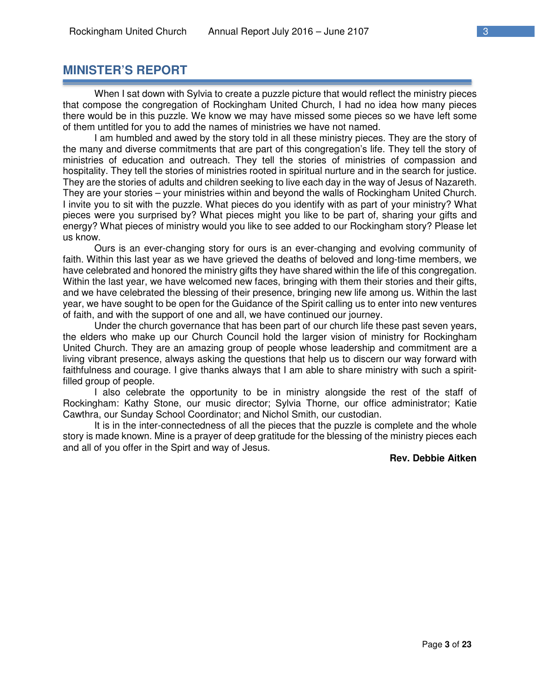# **MINISTER'S REPORT**

When I sat down with Sylvia to create a puzzle picture that would reflect the ministry pieces that compose the congregation of Rockingham United Church, I had no idea how many pieces there would be in this puzzle. We know we may have missed some pieces so we have left some of them untitled for you to add the names of ministries we have not named.

I am humbled and awed by the story told in all these ministry pieces. They are the story of the many and diverse commitments that are part of this congregation's life. They tell the story of ministries of education and outreach. They tell the stories of ministries of compassion and hospitality. They tell the stories of ministries rooted in spiritual nurture and in the search for justice. They are the stories of adults and children seeking to live each day in the way of Jesus of Nazareth. They are your stories – your ministries within and beyond the walls of Rockingham United Church. I invite you to sit with the puzzle. What pieces do you identify with as part of your ministry? What pieces were you surprised by? What pieces might you like to be part of, sharing your gifts and energy? What pieces of ministry would you like to see added to our Rockingham story? Please let us know.

Ours is an ever-changing story for ours is an ever-changing and evolving community of faith. Within this last year as we have grieved the deaths of beloved and long-time members, we have celebrated and honored the ministry gifts they have shared within the life of this congregation. Within the last year, we have welcomed new faces, bringing with them their stories and their gifts, and we have celebrated the blessing of their presence, bringing new life among us. Within the last year, we have sought to be open for the Guidance of the Spirit calling us to enter into new ventures of faith, and with the support of one and all, we have continued our journey.

Under the church governance that has been part of our church life these past seven years, the elders who make up our Church Council hold the larger vision of ministry for Rockingham United Church. They are an amazing group of people whose leadership and commitment are a living vibrant presence, always asking the questions that help us to discern our way forward with faithfulness and courage. I give thanks always that I am able to share ministry with such a spiritfilled group of people.

I also celebrate the opportunity to be in ministry alongside the rest of the staff of Rockingham: Kathy Stone, our music director; Sylvia Thorne, our office administrator; Katie Cawthra, our Sunday School Coordinator; and Nichol Smith, our custodian.

It is in the inter-connectedness of all the pieces that the puzzle is complete and the whole story is made known. Mine is a prayer of deep gratitude for the blessing of the ministry pieces each and all of you offer in the Spirt and way of Jesus.

#### **Rev. Debbie Aitken**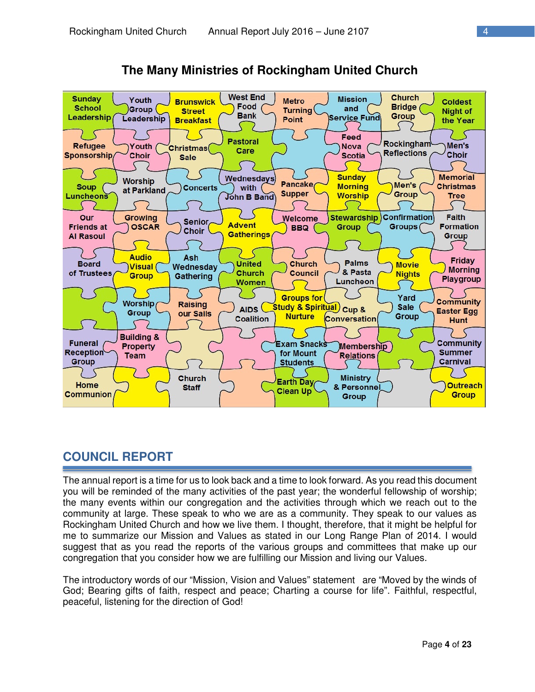

**The Many Ministries of Rockingham United Church** 

# **COUNCIL REPORT**

The annual report is a time for us to look back and a time to look forward. As you read this document you will be reminded of the many activities of the past year; the wonderful fellowship of worship; the many events within our congregation and the activities through which we reach out to the community at large. These speak to who we are as a community. They speak to our values as Rockingham United Church and how we live them. I thought, therefore, that it might be helpful for me to summarize our Mission and Values as stated in our Long Range Plan of 2014. I would suggest that as you read the reports of the various groups and committees that make up our congregation that you consider how we are fulfilling our Mission and living our Values.

The introductory words of our "Mission, Vision and Values" statement are "Moved by the winds of God; Bearing gifts of faith, respect and peace; Charting a course for life". Faithful, respectful, peaceful, listening for the direction of God!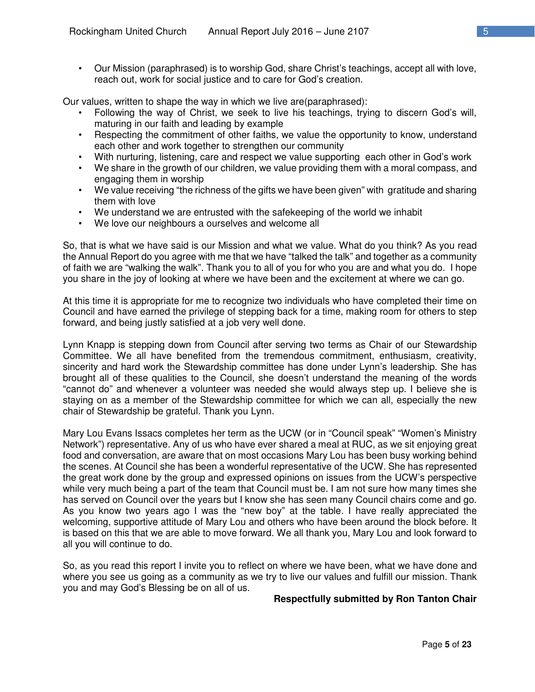• Our Mission (paraphrased) is to worship God, share Christ's teachings, accept all with love, reach out, work for social justice and to care for God's creation.

Our values, written to shape the way in which we live are(paraphrased):

- Following the way of Christ, we seek to live his teachings, trying to discern God's will, maturing in our faith and leading by example
- Respecting the commitment of other faiths, we value the opportunity to know, understand each other and work together to strengthen our community
- With nurturing, listening, care and respect we value supporting each other in God's work
- We share in the growth of our children, we value providing them with a moral compass, and engaging them in worship
- We value receiving "the richness of the gifts we have been given" with gratitude and sharing them with love
- We understand we are entrusted with the safekeeping of the world we inhabit
- We love our neighbours a ourselves and welcome all

So, that is what we have said is our Mission and what we value. What do you think? As you read the Annual Report do you agree with me that we have "talked the talk" and together as a community of faith we are "walking the walk". Thank you to all of you for who you are and what you do. I hope you share in the joy of looking at where we have been and the excitement at where we can go.

At this time it is appropriate for me to recognize two individuals who have completed their time on Council and have earned the privilege of stepping back for a time, making room for others to step forward, and being justly satisfied at a job very well done.

Lynn Knapp is stepping down from Council after serving two terms as Chair of our Stewardship Committee. We all have benefited from the tremendous commitment, enthusiasm, creativity, sincerity and hard work the Stewardship committee has done under Lynn's leadership. She has brought all of these qualities to the Council, she doesn't understand the meaning of the words "cannot do" and whenever a volunteer was needed she would always step up. I believe she is staying on as a member of the Stewardship committee for which we can all, especially the new chair of Stewardship be grateful. Thank you Lynn.

Mary Lou Evans Issacs completes her term as the UCW (or in "Council speak" "Women's Ministry Network") representative. Any of us who have ever shared a meal at RUC, as we sit enjoying great food and conversation, are aware that on most occasions Mary Lou has been busy working behind the scenes. At Council she has been a wonderful representative of the UCW. She has represented the great work done by the group and expressed opinions on issues from the UCW's perspective while very much being a part of the team that Council must be. I am not sure how many times she has served on Council over the years but I know she has seen many Council chairs come and go. As you know two years ago I was the "new boy" at the table. I have really appreciated the welcoming, supportive attitude of Mary Lou and others who have been around the block before. It is based on this that we are able to move forward. We all thank you, Mary Lou and look forward to all you will continue to do.

So, as you read this report I invite you to reflect on where we have been, what we have done and where you see us going as a community as we try to live our values and fulfill our mission. Thank you and may God's Blessing be on all of us.

#### **Respectfully submitted by Ron Tanton Chair**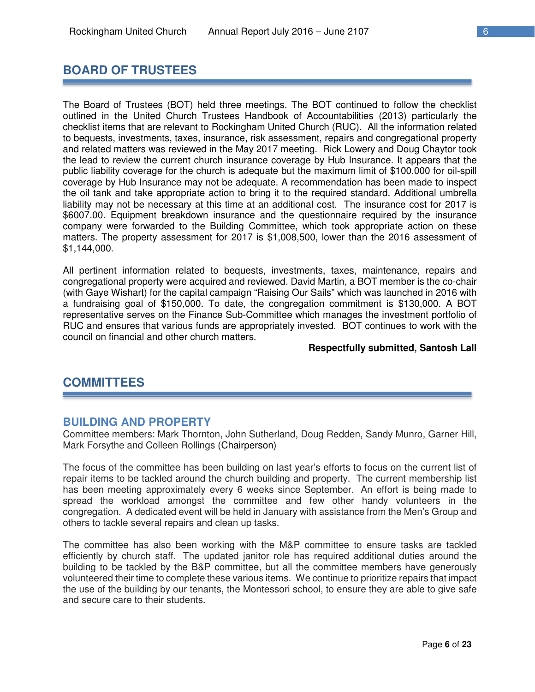# **BOARD OF TRUSTEES**

The Board of Trustees (BOT) held three meetings. The BOT continued to follow the checklist outlined in the United Church Trustees Handbook of Accountabilities (2013) particularly the checklist items that are relevant to Rockingham United Church (RUC). All the information related to bequests, investments, taxes, insurance, risk assessment, repairs and congregational property and related matters was reviewed in the May 2017 meeting. Rick Lowery and Doug Chaytor took the lead to review the current church insurance coverage by Hub Insurance. It appears that the public liability coverage for the church is adequate but the maximum limit of \$100,000 for oil-spill coverage by Hub Insurance may not be adequate. A recommendation has been made to inspect the oil tank and take appropriate action to bring it to the required standard. Additional umbrella liability may not be necessary at this time at an additional cost. The insurance cost for 2017 is \$6007.00. Equipment breakdown insurance and the questionnaire required by the insurance company were forwarded to the Building Committee, which took appropriate action on these matters. The property assessment for 2017 is \$1,008,500, lower than the 2016 assessment of \$1,144,000.

All pertinent information related to bequests, investments, taxes, maintenance, repairs and congregational property were acquired and reviewed. David Martin, a BOT member is the co-chair (with Gaye Wishart) for the capital campaign "Raising Our Sails" which was launched in 2016 with a fundraising goal of \$150,000. To date, the congregation commitment is \$130,000. A BOT representative serves on the Finance Sub-Committee which manages the investment portfolio of RUC and ensures that various funds are appropriately invested. BOT continues to work with the council on financial and other church matters.

#### **Respectfully submitted, Santosh Lall**

# **COMMITTEES**

#### **BUILDING AND PROPERTY**

Committee members: Mark Thornton, John Sutherland, Doug Redden, Sandy Munro, Garner Hill, Mark Forsythe and Colleen Rollings (Chairperson)

The focus of the committee has been building on last year's efforts to focus on the current list of repair items to be tackled around the church building and property. The current membership list has been meeting approximately every 6 weeks since September. An effort is being made to spread the workload amongst the committee and few other handy volunteers in the congregation. A dedicated event will be held in January with assistance from the Men's Group and others to tackle several repairs and clean up tasks.

The committee has also been working with the M&P committee to ensure tasks are tackled efficiently by church staff. The updated janitor role has required additional duties around the building to be tackled by the B&P committee, but all the committee members have generously volunteered their time to complete these various items. We continue to prioritize repairs that impact the use of the building by our tenants, the Montessori school, to ensure they are able to give safe and secure care to their students.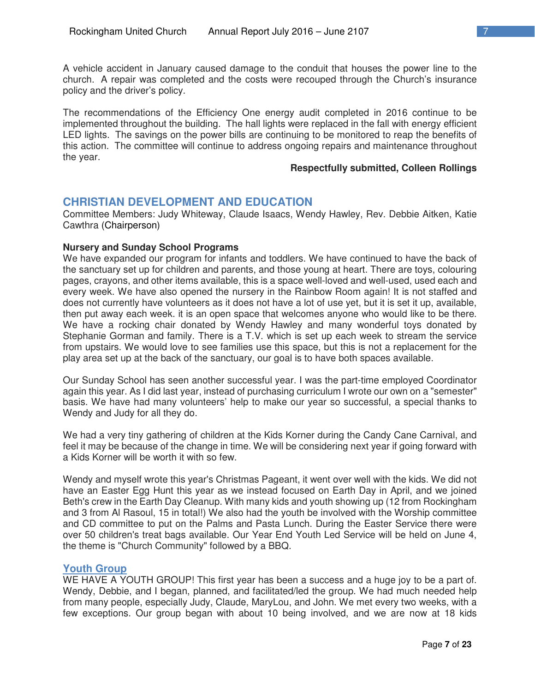A vehicle accident in January caused damage to the conduit that houses the power line to the church. A repair was completed and the costs were recouped through the Church's insurance policy and the driver's policy.

The recommendations of the Efficiency One energy audit completed in 2016 continue to be implemented throughout the building. The hall lights were replaced in the fall with energy efficient LED lights. The savings on the power bills are continuing to be monitored to reap the benefits of this action. The committee will continue to address ongoing repairs and maintenance throughout the year.

#### **Respectfully submitted, Colleen Rollings**

### **CHRISTIAN DEVELOPMENT AND EDUCATION**

Committee Members: Judy Whiteway, Claude Isaacs, Wendy Hawley, Rev. Debbie Aitken, Katie Cawthra (Chairperson)

#### **Nursery and Sunday School Programs**

We have expanded our program for infants and toddlers. We have continued to have the back of the sanctuary set up for children and parents, and those young at heart. There are toys, colouring pages, crayons, and other items available, this is a space well-loved and well-used, used each and every week. We have also opened the nursery in the Rainbow Room again! It is not staffed and does not currently have volunteers as it does not have a lot of use yet, but it is set it up, available, then put away each week. it is an open space that welcomes anyone who would like to be there. We have a rocking chair donated by Wendy Hawley and many wonderful toys donated by Stephanie Gorman and family. There is a T.V. which is set up each week to stream the service from upstairs. We would love to see families use this space, but this is not a replacement for the play area set up at the back of the sanctuary, our goal is to have both spaces available.

Our Sunday School has seen another successful year. I was the part-time employed Coordinator again this year. As I did last year, instead of purchasing curriculum I wrote our own on a "semester" basis. We have had many volunteers' help to make our year so successful, a special thanks to Wendy and Judy for all they do.

We had a very tiny gathering of children at the Kids Korner during the Candy Cane Carnival, and feel it may be because of the change in time. We will be considering next year if going forward with a Kids Korner will be worth it with so few.

Wendy and myself wrote this year's Christmas Pageant, it went over well with the kids. We did not have an Easter Egg Hunt this year as we instead focused on Earth Day in April, and we joined Beth's crew in the Earth Day Cleanup. With many kids and youth showing up (12 from Rockingham and 3 from Al Rasoul, 15 in total!) We also had the youth be involved with the Worship committee and CD committee to put on the Palms and Pasta Lunch. During the Easter Service there were over 50 children's treat bags available. Our Year End Youth Led Service will be held on June 4, the theme is "Church Community" followed by a BBQ.

#### **Youth Group**

WE HAVE A YOUTH GROUP! This first year has been a success and a huge joy to be a part of. Wendy, Debbie, and I began, planned, and facilitated/led the group. We had much needed help from many people, especially Judy, Claude, MaryLou, and John. We met every two weeks, with a few exceptions. Our group began with about 10 being involved, and we are now at 18 kids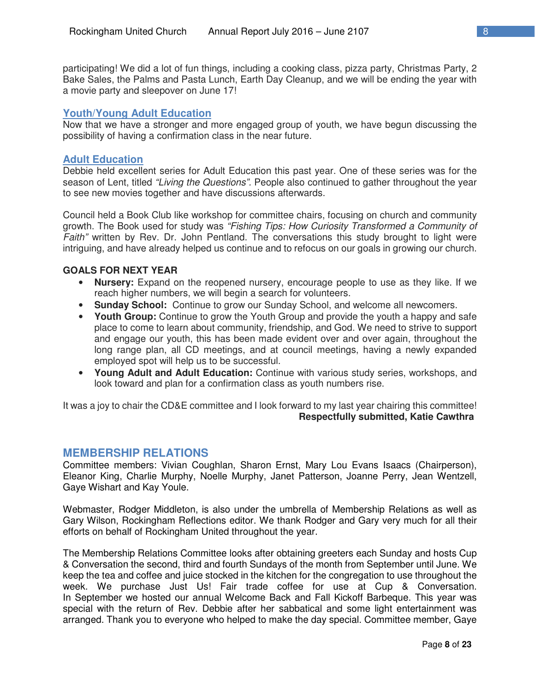participating! We did a lot of fun things, including a cooking class, pizza party, Christmas Party, 2 Bake Sales, the Palms and Pasta Lunch, Earth Day Cleanup, and we will be ending the year with a movie party and sleepover on June 17!

#### **Youth/Young Adult Education**

Now that we have a stronger and more engaged group of youth, we have begun discussing the possibility of having a confirmation class in the near future.

#### **Adult Education**

Debbie held excellent series for Adult Education this past year. One of these series was for the season of Lent, titled *"Living the Questions".* People also continued to gather throughout the year to see new movies together and have discussions afterwards.

Council held a Book Club like workshop for committee chairs, focusing on church and community growth. The Book used for study was *"Fishing Tips: How Curiosity Transformed a Community of Faith"* written by Rev. Dr. John Pentland. The conversations this study brought to light were intriguing, and have already helped us continue and to refocus on our goals in growing our church.

#### **GOALS FOR NEXT YEAR**

- **Nursery:** Expand on the reopened nursery, encourage people to use as they like. If we reach higher numbers, we will begin a search for volunteers.
- **Sunday School:** Continue to grow our Sunday School, and welcome all newcomers.
- **Youth Group:** Continue to grow the Youth Group and provide the youth a happy and safe place to come to learn about community, friendship, and God. We need to strive to support and engage our youth, this has been made evident over and over again, throughout the long range plan, all CD meetings, and at council meetings, having a newly expanded employed spot will help us to be successful.
- **Young Adult and Adult Education:** Continue with various study series, workshops, and look toward and plan for a confirmation class as youth numbers rise.

It was a joy to chair the CD&E committee and I look forward to my last year chairing this committee! **Respectfully submitted, Katie Cawthra** 

#### **MEMBERSHIP RELATIONS**

Committee members: Vivian Coughlan, Sharon Ernst, Mary Lou Evans Isaacs (Chairperson), Eleanor King, Charlie Murphy, Noelle Murphy, Janet Patterson, Joanne Perry, Jean Wentzell, Gaye Wishart and Kay Youle.

Webmaster, Rodger Middleton, is also under the umbrella of Membership Relations as well as Gary Wilson, Rockingham Reflections editor. We thank Rodger and Gary very much for all their efforts on behalf of Rockingham United throughout the year.

The Membership Relations Committee looks after obtaining greeters each Sunday and hosts Cup & Conversation the second, third and fourth Sundays of the month from September until June. We keep the tea and coffee and juice stocked in the kitchen for the congregation to use throughout the week. We purchase Just Us! Fair trade coffee for use at Cup & Conversation. In September we hosted our annual Welcome Back and Fall Kickoff Barbeque. This year was special with the return of Rev. Debbie after her sabbatical and some light entertainment was arranged. Thank you to everyone who helped to make the day special. Committee member, Gaye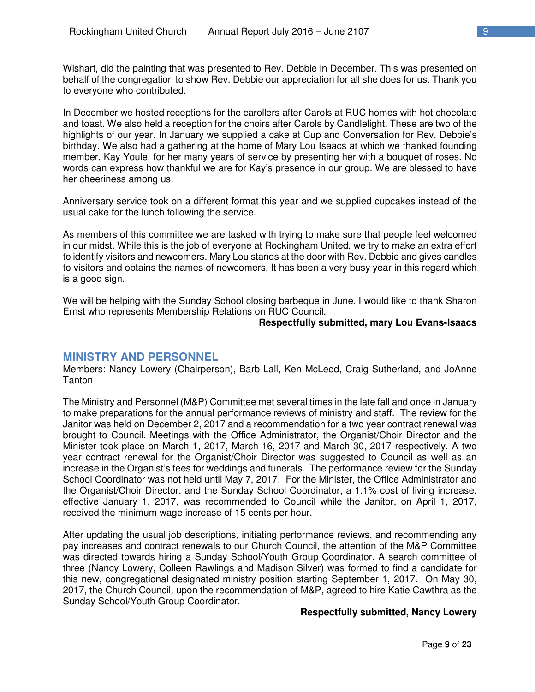Wishart, did the painting that was presented to Rev. Debbie in December. This was presented on behalf of the congregation to show Rev. Debbie our appreciation for all she does for us. Thank you to everyone who contributed.

In December we hosted receptions for the carollers after Carols at RUC homes with hot chocolate and toast. We also held a reception for the choirs after Carols by Candlelight. These are two of the highlights of our year. In January we supplied a cake at Cup and Conversation for Rev. Debbie's birthday. We also had a gathering at the home of Mary Lou Isaacs at which we thanked founding member, Kay Youle, for her many years of service by presenting her with a bouquet of roses. No words can express how thankful we are for Kay's presence in our group. We are blessed to have her cheeriness among us.

Anniversary service took on a different format this year and we supplied cupcakes instead of the usual cake for the lunch following the service.

As members of this committee we are tasked with trying to make sure that people feel welcomed in our midst. While this is the job of everyone at Rockingham United, we try to make an extra effort to identify visitors and newcomers. Mary Lou stands at the door with Rev. Debbie and gives candles to visitors and obtains the names of newcomers. It has been a very busy year in this regard which is a good sign.

We will be helping with the Sunday School closing barbeque in June. I would like to thank Sharon Ernst who represents Membership Relations on RUC Council.

#### **Respectfully submitted, mary Lou Evans-Isaacs**

## **MINISTRY AND PERSONNEL**

Members: Nancy Lowery (Chairperson), Barb Lall, Ken McLeod, Craig Sutherland, and JoAnne **Tanton** 

The Ministry and Personnel (M&P) Committee met several times in the late fall and once in January to make preparations for the annual performance reviews of ministry and staff. The review for the Janitor was held on December 2, 2017 and a recommendation for a two year contract renewal was brought to Council. Meetings with the Office Administrator, the Organist/Choir Director and the Minister took place on March 1, 2017, March 16, 2017 and March 30, 2017 respectively. A two year contract renewal for the Organist/Choir Director was suggested to Council as well as an increase in the Organist's fees for weddings and funerals. The performance review for the Sunday School Coordinator was not held until May 7, 2017. For the Minister, the Office Administrator and the Organist/Choir Director, and the Sunday School Coordinator, a 1.1% cost of living increase, effective January 1, 2017, was recommended to Council while the Janitor, on April 1, 2017, received the minimum wage increase of 15 cents per hour.

After updating the usual job descriptions, initiating performance reviews, and recommending any pay increases and contract renewals to our Church Council, the attention of the M&P Committee was directed towards hiring a Sunday School/Youth Group Coordinator. A search committee of three (Nancy Lowery, Colleen Rawlings and Madison Silver) was formed to find a candidate for this new, congregational designated ministry position starting September 1, 2017. On May 30, 2017, the Church Council, upon the recommendation of M&P, agreed to hire Katie Cawthra as the Sunday School/Youth Group Coordinator.

#### **Respectfully submitted, Nancy Lowery**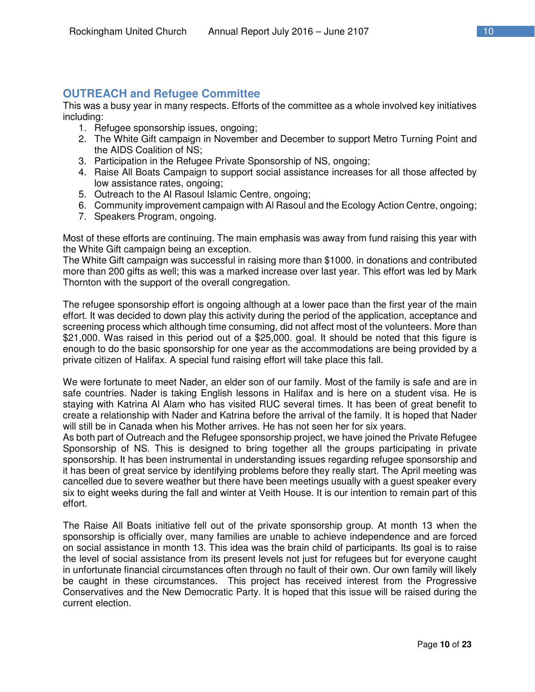# **OUTREACH and Refugee Committee**

This was a busy year in many respects. Efforts of the committee as a whole involved key initiatives including:

- 1. Refugee sponsorship issues, ongoing;
- 2. The White Gift campaign in November and December to support Metro Turning Point and the AIDS Coalition of NS;
- 3. Participation in the Refugee Private Sponsorship of NS, ongoing;
- 4. Raise All Boats Campaign to support social assistance increases for all those affected by low assistance rates, ongoing;
- 5. Outreach to the Al Rasoul Islamic Centre, ongoing;
- 6. Community improvement campaign with Al Rasoul and the Ecology Action Centre, ongoing;
- 7. Speakers Program, ongoing.

Most of these efforts are continuing. The main emphasis was away from fund raising this year with the White Gift campaign being an exception.

The White Gift campaign was successful in raising more than \$1000. in donations and contributed more than 200 gifts as well; this was a marked increase over last year. This effort was led by Mark Thornton with the support of the overall congregation.

The refugee sponsorship effort is ongoing although at a lower pace than the first year of the main effort. It was decided to down play this activity during the period of the application, acceptance and screening process which although time consuming, did not affect most of the volunteers. More than \$21,000. Was raised in this period out of a \$25,000. goal. It should be noted that this figure is enough to do the basic sponsorship for one year as the accommodations are being provided by a private citizen of Halifax. A special fund raising effort will take place this fall.

We were fortunate to meet Nader, an elder son of our family. Most of the family is safe and are in safe countries. Nader is taking English lessons in Halifax and is here on a student visa. He is staying with Katrina Al Alam who has visited RUC several times. It has been of great benefit to create a relationship with Nader and Katrina before the arrival of the family. It is hoped that Nader will still be in Canada when his Mother arrives. He has not seen her for six years.

As both part of Outreach and the Refugee sponsorship project, we have joined the Private Refugee Sponsorship of NS. This is designed to bring together all the groups participating in private sponsorship. It has been instrumental in understanding issues regarding refugee sponsorship and it has been of great service by identifying problems before they really start. The April meeting was cancelled due to severe weather but there have been meetings usually with a guest speaker every six to eight weeks during the fall and winter at Veith House. It is our intention to remain part of this effort.

The Raise All Boats initiative fell out of the private sponsorship group. At month 13 when the sponsorship is officially over, many families are unable to achieve independence and are forced on social assistance in month 13. This idea was the brain child of participants. Its goal is to raise the level of social assistance from its present levels not just for refugees but for everyone caught in unfortunate financial circumstances often through no fault of their own. Our own family will likely be caught in these circumstances. This project has received interest from the Progressive Conservatives and the New Democratic Party. It is hoped that this issue will be raised during the current election.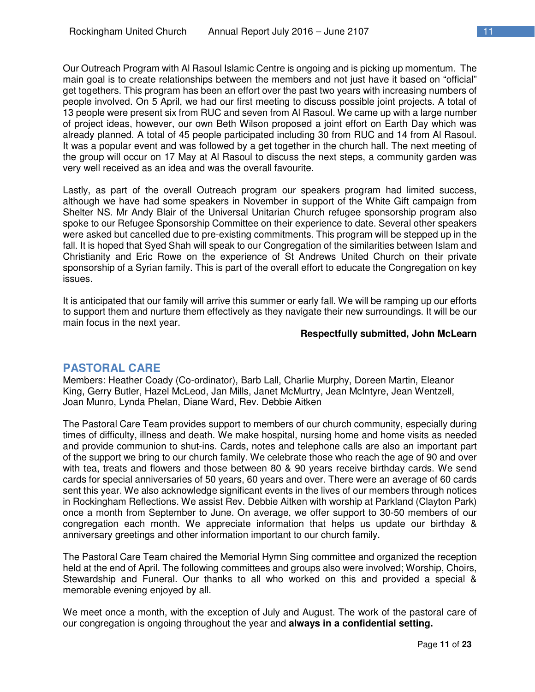Our Outreach Program with Al Rasoul Islamic Centre is ongoing and is picking up momentum. The main goal is to create relationships between the members and not just have it based on "official" get togethers. This program has been an effort over the past two years with increasing numbers of people involved. On 5 April, we had our first meeting to discuss possible joint projects. A total of 13 people were present six from RUC and seven from Al Rasoul. We came up with a large number of project ideas, however, our own Beth Wilson proposed a joint effort on Earth Day which was already planned. A total of 45 people participated including 30 from RUC and 14 from Al Rasoul. It was a popular event and was followed by a get together in the church hall. The next meeting of the group will occur on 17 May at Al Rasoul to discuss the next steps, a community garden was very well received as an idea and was the overall favourite.

Lastly, as part of the overall Outreach program our speakers program had limited success, although we have had some speakers in November in support of the White Gift campaign from Shelter NS. Mr Andy Blair of the Universal Unitarian Church refugee sponsorship program also spoke to our Refugee Sponsorship Committee on their experience to date. Several other speakers were asked but cancelled due to pre-existing commitments. This program will be stepped up in the fall. It is hoped that Syed Shah will speak to our Congregation of the similarities between Islam and Christianity and Eric Rowe on the experience of St Andrews United Church on their private sponsorship of a Syrian family. This is part of the overall effort to educate the Congregation on key issues.

It is anticipated that our family will arrive this summer or early fall. We will be ramping up our efforts to support them and nurture them effectively as they navigate their new surroundings. It will be our main focus in the next year.

#### **Respectfully submitted, John McLearn**

#### **PASTORAL CARE**

Members: Heather Coady (Co-ordinator), Barb Lall, Charlie Murphy, Doreen Martin, Eleanor King, Gerry Butler, Hazel McLeod, Jan Mills, Janet McMurtry, Jean McIntyre, Jean Wentzell, Joan Munro, Lynda Phelan, Diane Ward, Rev. Debbie Aitken

The Pastoral Care Team provides support to members of our church community, especially during times of difficulty, illness and death. We make hospital, nursing home and home visits as needed and provide communion to shut-ins. Cards, notes and telephone calls are also an important part of the support we bring to our church family. We celebrate those who reach the age of 90 and over with tea, treats and flowers and those between 80 & 90 years receive birthday cards. We send cards for special anniversaries of 50 years, 60 years and over. There were an average of 60 cards sent this year. We also acknowledge significant events in the lives of our members through notices in Rockingham Reflections. We assist Rev. Debbie Aitken with worship at Parkland (Clayton Park) once a month from September to June. On average, we offer support to 30-50 members of our congregation each month. We appreciate information that helps us update our birthday & anniversary greetings and other information important to our church family.

The Pastoral Care Team chaired the Memorial Hymn Sing committee and organized the reception held at the end of April. The following committees and groups also were involved; Worship, Choirs, Stewardship and Funeral. Our thanks to all who worked on this and provided a special & memorable evening enjoyed by all.

We meet once a month, with the exception of July and August. The work of the pastoral care of our congregation is ongoing throughout the year and **always in a confidential setting.**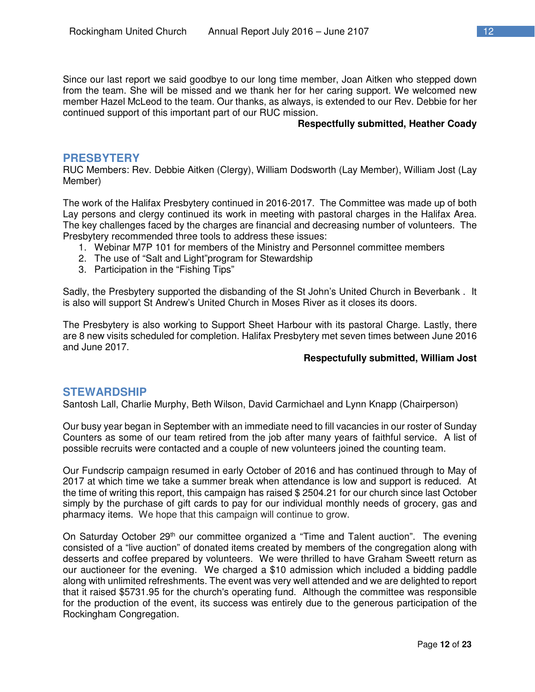Since our last report we said goodbye to our long time member, Joan Aitken who stepped down from the team. She will be missed and we thank her for her caring support. We welcomed new member Hazel McLeod to the team. Our thanks, as always, is extended to our Rev. Debbie for her continued support of this important part of our RUC mission.

#### **Respectfully submitted, Heather Coady**

#### **PRESBYTERY**

RUC Members: Rev. Debbie Aitken (Clergy), William Dodsworth (Lay Member), William Jost (Lay Member)

The work of the Halifax Presbytery continued in 2016-2017. The Committee was made up of both Lay persons and clergy continued its work in meeting with pastoral charges in the Halifax Area. The key challenges faced by the charges are financial and decreasing number of volunteers. The Presbytery recommended three tools to address these issues:

- 1. Webinar M7P 101 for members of the Ministry and Personnel committee members
- 2. The use of "Salt and Light"program for Stewardship
- 3. Participation in the "Fishing Tips"

Sadly, the Presbytery supported the disbanding of the St John's United Church in Beverbank . It is also will support St Andrew's United Church in Moses River as it closes its doors.

The Presbytery is also working to Support Sheet Harbour with its pastoral Charge. Lastly, there are 8 new visits scheduled for completion. Halifax Presbytery met seven times between June 2016 and June 2017.

#### **Respectufully submitted, William Jost**

#### **STEWARDSHIP**

Santosh Lall, Charlie Murphy, Beth Wilson, David Carmichael and Lynn Knapp (Chairperson)

Our busy year began in September with an immediate need to fill vacancies in our roster of Sunday Counters as some of our team retired from the job after many years of faithful service. A list of possible recruits were contacted and a couple of new volunteers joined the counting team.

Our Fundscrip campaign resumed in early October of 2016 and has continued through to May of 2017 at which time we take a summer break when attendance is low and support is reduced. At the time of writing this report, this campaign has raised \$ 2504.21 for our church since last October simply by the purchase of gift cards to pay for our individual monthly needs of grocery, gas and pharmacy items. We hope that this campaign will continue to grow.

On Saturday October 29<sup>th</sup> our committee organized a "Time and Talent auction". The evening consisted of a "live auction" of donated items created by members of the congregation along with desserts and coffee prepared by volunteers. We were thrilled to have Graham Sweett return as our auctioneer for the evening. We charged a \$10 admission which included a bidding paddle along with unlimited refreshments. The event was very well attended and we are delighted to report that it raised \$5731.95 for the church's operating fund. Although the committee was responsible for the production of the event, its success was entirely due to the generous participation of the Rockingham Congregation.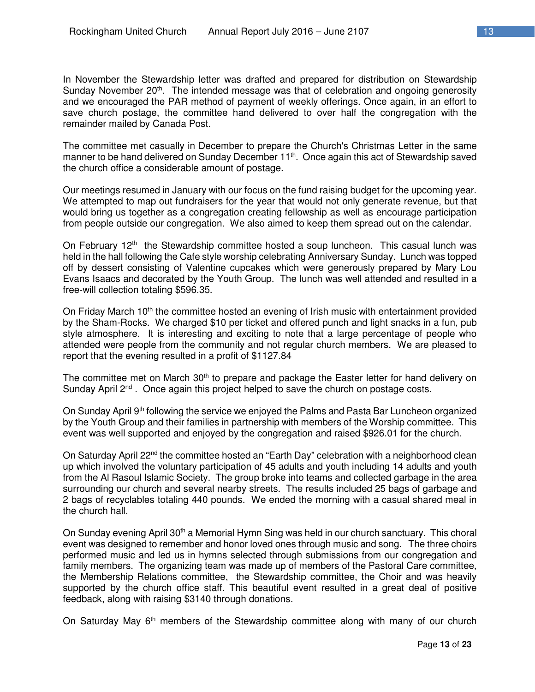In November the Stewardship letter was drafted and prepared for distribution on Stewardship Sunday November  $20<sup>th</sup>$ . The intended message was that of celebration and ongoing generosity and we encouraged the PAR method of payment of weekly offerings. Once again, in an effort to save church postage, the committee hand delivered to over half the congregation with the remainder mailed by Canada Post.

The committee met casually in December to prepare the Church's Christmas Letter in the same manner to be hand delivered on Sunday December 11<sup>th</sup>. Once again this act of Stewardship saved the church office a considerable amount of postage.

Our meetings resumed in January with our focus on the fund raising budget for the upcoming year. We attempted to map out fundraisers for the year that would not only generate revenue, but that would bring us together as a congregation creating fellowship as well as encourage participation from people outside our congregation. We also aimed to keep them spread out on the calendar.

On February  $12<sup>th</sup>$  the Stewardship committee hosted a soup luncheon. This casual lunch was held in the hall following the Cafe style worship celebrating Anniversary Sunday. Lunch was topped off by dessert consisting of Valentine cupcakes which were generously prepared by Mary Lou Evans Isaacs and decorated by the Youth Group. The lunch was well attended and resulted in a free-will collection totaling \$596.35.

On Friday March 10<sup>th</sup> the committee hosted an evening of Irish music with entertainment provided by the Sham-Rocks. We charged \$10 per ticket and offered punch and light snacks in a fun, pub style atmosphere. It is interesting and exciting to note that a large percentage of people who attended were people from the community and not regular church members. We are pleased to report that the evening resulted in a profit of \$1127.84

The committee met on March  $30<sup>th</sup>$  to prepare and package the Easter letter for hand delivery on Sunday April 2<sup>nd</sup>. Once again this project helped to save the church on postage costs.

On Sunday April 9th following the service we enjoyed the Palms and Pasta Bar Luncheon organized by the Youth Group and their families in partnership with members of the Worship committee. This event was well supported and enjoyed by the congregation and raised \$926.01 for the church.

On Saturday April 22<sup>nd</sup> the committee hosted an "Earth Day" celebration with a neighborhood clean up which involved the voluntary participation of 45 adults and youth including 14 adults and youth from the Al Rasoul Islamic Society. The group broke into teams and collected garbage in the area surrounding our church and several nearby streets. The results included 25 bags of garbage and 2 bags of recyclables totaling 440 pounds. We ended the morning with a casual shared meal in the church hall.

On Sunday evening April 30<sup>th</sup> a Memorial Hymn Sing was held in our church sanctuary. This choral event was designed to remember and honor loved ones through music and song. The three choirs performed music and led us in hymns selected through submissions from our congregation and family members. The organizing team was made up of members of the Pastoral Care committee, the Membership Relations committee, the Stewardship committee, the Choir and was heavily supported by the church office staff. This beautiful event resulted in a great deal of positive feedback, along with raising \$3140 through donations.

On Saturday May  $6<sup>th</sup>$  members of the Stewardship committee along with many of our church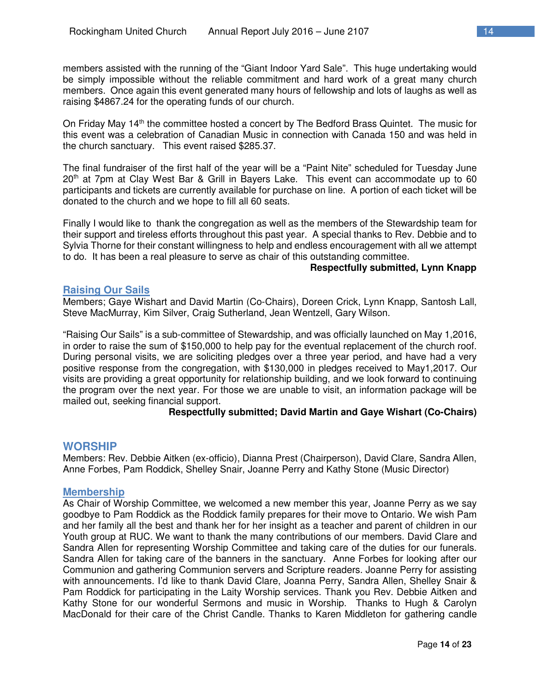members assisted with the running of the "Giant Indoor Yard Sale". This huge undertaking would be simply impossible without the reliable commitment and hard work of a great many church members. Once again this event generated many hours of fellowship and lots of laughs as well as raising \$4867.24 for the operating funds of our church.

On Friday May 14th the committee hosted a concert by The Bedford Brass Quintet. The music for this event was a celebration of Canadian Music in connection with Canada 150 and was held in the church sanctuary. This event raised \$285.37.

The final fundraiser of the first half of the year will be a "Paint Nite" scheduled for Tuesday June 20<sup>th</sup> at 7pm at Clay West Bar & Grill in Bayers Lake. This event can accommodate up to 60 participants and tickets are currently available for purchase on line. A portion of each ticket will be donated to the church and we hope to fill all 60 seats.

Finally I would like to thank the congregation as well as the members of the Stewardship team for their support and tireless efforts throughout this past year. A special thanks to Rev. Debbie and to Sylvia Thorne for their constant willingness to help and endless encouragement with all we attempt to do. It has been a real pleasure to serve as chair of this outstanding committee.

#### **Respectfully submitted, Lynn Knapp**

#### **Raising Our Sails**

Members; Gaye Wishart and David Martin (Co-Chairs), Doreen Crick, Lynn Knapp, Santosh Lall, Steve MacMurray, Kim Silver, Craig Sutherland, Jean Wentzell, Gary Wilson.

"Raising Our Sails" is a sub-committee of Stewardship, and was officially launched on May 1,2016, in order to raise the sum of \$150,000 to help pay for the eventual replacement of the church roof. During personal visits, we are soliciting pledges over a three year period, and have had a very positive response from the congregation, with \$130,000 in pledges received to May1,2017. Our visits are providing a great opportunity for relationship building, and we look forward to continuing the program over the next year. For those we are unable to visit, an information package will be mailed out, seeking financial support.

#### **Respectfully submitted; David Martin and Gaye Wishart (Co-Chairs)**

#### **WORSHIP**

Members: Rev. Debbie Aitken (ex-officio), Dianna Prest (Chairperson), David Clare, Sandra Allen, Anne Forbes, Pam Roddick, Shelley Snair, Joanne Perry and Kathy Stone (Music Director)

#### **Membership**

As Chair of Worship Committee, we welcomed a new member this year, Joanne Perry as we say goodbye to Pam Roddick as the Roddick family prepares for their move to Ontario. We wish Pam and her family all the best and thank her for her insight as a teacher and parent of children in our Youth group at RUC. We want to thank the many contributions of our members. David Clare and Sandra Allen for representing Worship Committee and taking care of the duties for our funerals. Sandra Allen for taking care of the banners in the sanctuary. Anne Forbes for looking after our Communion and gathering Communion servers and Scripture readers. Joanne Perry for assisting with announcements. I'd like to thank David Clare, Joanna Perry, Sandra Allen, Shelley Snair & Pam Roddick for participating in the Laity Worship services. Thank you Rev. Debbie Aitken and Kathy Stone for our wonderful Sermons and music in Worship. Thanks to Hugh & Carolyn MacDonald for their care of the Christ Candle. Thanks to Karen Middleton for gathering candle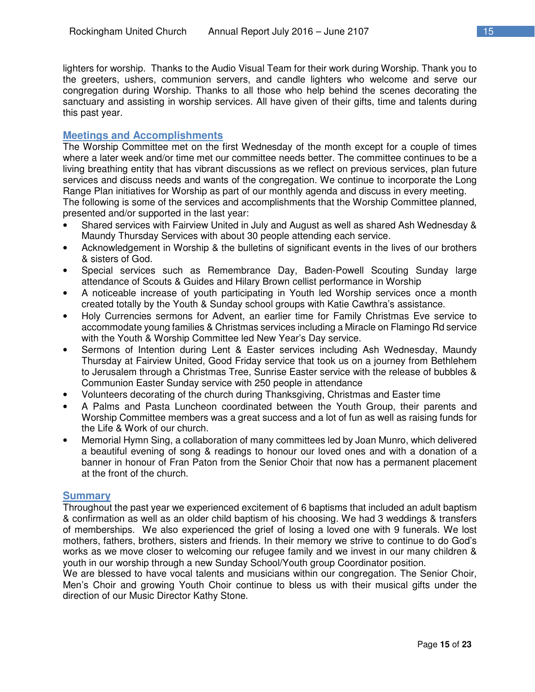lighters for worship. Thanks to the Audio Visual Team for their work during Worship. Thank you to the greeters, ushers, communion servers, and candle lighters who welcome and serve our congregation during Worship. Thanks to all those who help behind the scenes decorating the sanctuary and assisting in worship services. All have given of their gifts, time and talents during this past year.

#### **Meetings and Accomplishments**

The Worship Committee met on the first Wednesday of the month except for a couple of times where a later week and/or time met our committee needs better. The committee continues to be a living breathing entity that has vibrant discussions as we reflect on previous services, plan future services and discuss needs and wants of the congregation. We continue to incorporate the Long Range Plan initiatives for Worship as part of our monthly agenda and discuss in every meeting. The following is some of the services and accomplishments that the Worship Committee planned,

presented and/or supported in the last year:

- Shared services with Fairview United in July and August as well as shared Ash Wednesday & Maundy Thursday Services with about 30 people attending each service.
- Acknowledgement in Worship & the bulletins of significant events in the lives of our brothers & sisters of God.
- Special services such as Remembrance Day, Baden-Powell Scouting Sunday large attendance of Scouts & Guides and Hilary Brown cellist performance in Worship
- A noticeable increase of youth participating in Youth led Worship services once a month created totally by the Youth & Sunday school groups with Katie Cawthra's assistance.
- Holy Currencies sermons for Advent, an earlier time for Family Christmas Eve service to accommodate young families & Christmas services including a Miracle on Flamingo Rd service with the Youth & Worship Committee led New Year's Day service.
- Sermons of Intention during Lent & Easter services including Ash Wednesday, Maundy Thursday at Fairview United, Good Friday service that took us on a journey from Bethlehem to Jerusalem through a Christmas Tree, Sunrise Easter service with the release of bubbles & Communion Easter Sunday service with 250 people in attendance
- Volunteers decorating of the church during Thanksgiving, Christmas and Easter time
- A Palms and Pasta Luncheon coordinated between the Youth Group, their parents and Worship Committee members was a great success and a lot of fun as well as raising funds for the Life & Work of our church.
- Memorial Hymn Sing, a collaboration of many committees led by Joan Munro, which delivered a beautiful evening of song & readings to honour our loved ones and with a donation of a banner in honour of Fran Paton from the Senior Choir that now has a permanent placement at the front of the church.

#### **Summary**

Throughout the past year we experienced excitement of 6 baptisms that included an adult baptism & confirmation as well as an older child baptism of his choosing. We had 3 weddings & transfers of memberships. We also experienced the grief of losing a loved one with 9 funerals. We lost mothers, fathers, brothers, sisters and friends. In their memory we strive to continue to do God's works as we move closer to welcoming our refugee family and we invest in our many children & youth in our worship through a new Sunday School/Youth group Coordinator position.

We are blessed to have vocal talents and musicians within our congregation. The Senior Choir, Men's Choir and growing Youth Choir continue to bless us with their musical gifts under the direction of our Music Director Kathy Stone.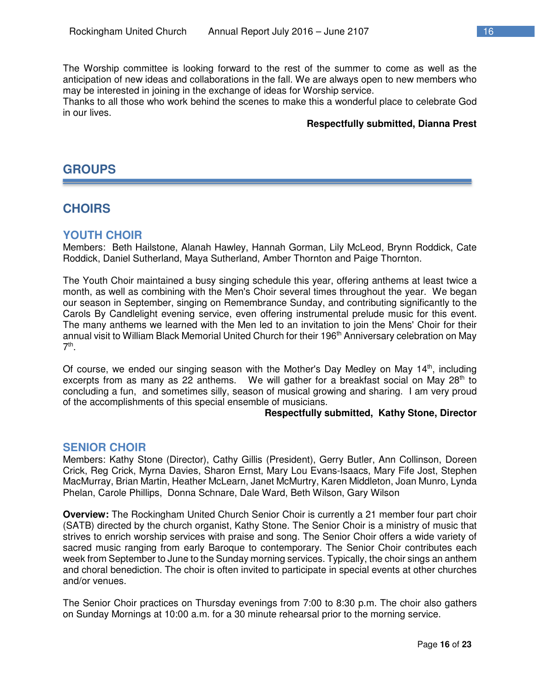The Worship committee is looking forward to the rest of the summer to come as well as the anticipation of new ideas and collaborations in the fall. We are always open to new members who may be interested in joining in the exchange of ideas for Worship service.

Thanks to all those who work behind the scenes to make this a wonderful place to celebrate God in our lives.

#### **Respectfully submitted, Dianna Prest**

# **GROUPS**

# **CHOIRS**

## **YOUTH CHOIR**

Members: Beth Hailstone, Alanah Hawley, Hannah Gorman, Lily McLeod, Brynn Roddick, Cate Roddick, Daniel Sutherland, Maya Sutherland, Amber Thornton and Paige Thornton.

The Youth Choir maintained a busy singing schedule this year, offering anthems at least twice a month, as well as combining with the Men's Choir several times throughout the year. We began our season in September, singing on Remembrance Sunday, and contributing significantly to the Carols By Candlelight evening service, even offering instrumental prelude music for this event. The many anthems we learned with the Men led to an invitation to join the Mens' Choir for their annual visit to William Black Memorial United Church for their 196<sup>th</sup> Anniversary celebration on May 7<sup>th</sup>.

Of course, we ended our singing season with the Mother's Day Medley on May  $14<sup>th</sup>$ , including excerpts from as many as 22 anthems. We will gather for a breakfast social on May 28<sup>th</sup> to concluding a fun, and sometimes silly, season of musical growing and sharing. I am very proud of the accomplishments of this special ensemble of musicians.

#### **Respectfully submitted, Kathy Stone, Director**

#### **SENIOR CHOIR**

Members: Kathy Stone (Director), Cathy Gillis (President), Gerry Butler, Ann Collinson, Doreen Crick, Reg Crick, Myrna Davies, Sharon Ernst, Mary Lou Evans-Isaacs, Mary Fife Jost, Stephen MacMurray, Brian Martin, Heather McLearn, Janet McMurtry, Karen Middleton, Joan Munro, Lynda Phelan, Carole Phillips, Donna Schnare, Dale Ward, Beth Wilson, Gary Wilson

**Overview:** The Rockingham United Church Senior Choir is currently a 21 member four part choir (SATB) directed by the church organist, Kathy Stone. The Senior Choir is a ministry of music that strives to enrich worship services with praise and song. The Senior Choir offers a wide variety of sacred music ranging from early Baroque to contemporary. The Senior Choir contributes each week from September to June to the Sunday morning services. Typically, the choir sings an anthem and choral benediction. The choir is often invited to participate in special events at other churches and/or venues.

The Senior Choir practices on Thursday evenings from 7:00 to 8:30 p.m. The choir also gathers on Sunday Mornings at 10:00 a.m. for a 30 minute rehearsal prior to the morning service.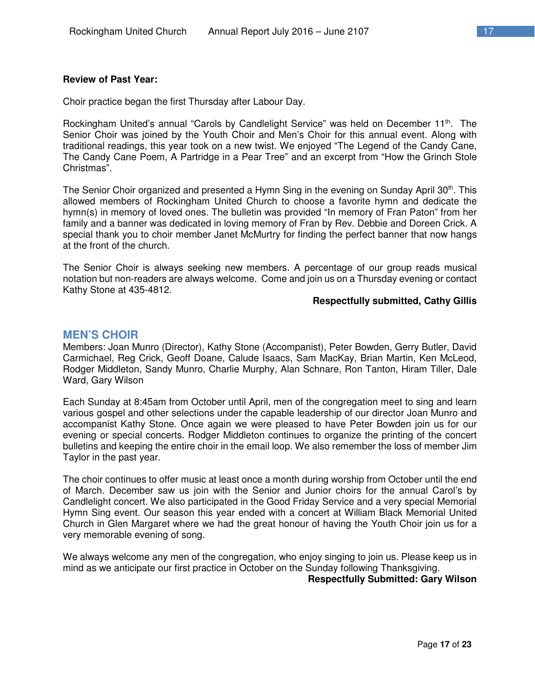#### **Review of Past Year:**

Choir practice began the first Thursday after Labour Day.

Rockingham United's annual "Carols by Candlelight Service" was held on December 11<sup>th</sup>. The Senior Choir was joined by the Youth Choir and Men's Choir for this annual event. Along with traditional readings, this year took on a new twist. We enjoyed "The Legend of the Candy Cane, The Candy Cane Poem, A Partridge in a Pear Tree" and an excerpt from "How the Grinch Stole Christmas".

The Senior Choir organized and presented a Hymn Sing in the evening on Sunday April 30<sup>th</sup>. This allowed members of Rockingham United Church to choose a favorite hymn and dedicate the hymn(s) in memory of loved ones. The bulletin was provided "In memory of Fran Paton" from her family and a banner was dedicated in loving memory of Fran by Rev. Debbie and Doreen Crick. A special thank you to choir member Janet McMurtry for finding the perfect banner that now hangs at the front of the church.

The Senior Choir is always seeking new members. A percentage of our group reads musical notation but non-readers are always welcome. Come and join us on a Thursday evening or contact Kathy Stone at 435-4812.

#### **Respectfully submitted, Cathy Gillis**

#### **MEN'S CHOIR**

Members: Joan Munro (Director), Kathy Stone (Accompanist), Peter Bowden, Gerry Butler, David Carmichael, Reg Crick, Geoff Doane, Calude Isaacs, Sam MacKay, Brian Martin, Ken McLeod, Rodger Middleton, Sandy Munro, Charlie Murphy, Alan Schnare, Ron Tanton, Hiram Tiller, Dale Ward, Gary Wilson

Each Sunday at 8:45am from October until April, men of the congregation meet to sing and learn various gospel and other selections under the capable leadership of our director Joan Munro and accompanist Kathy Stone. Once again we were pleased to have Peter Bowden join us for our evening or special concerts. Rodger Middleton continues to organize the printing of the concert bulletins and keeping the entire choir in the email loop. We also remember the loss of member Jim Taylor in the past year.

The choir continues to offer music at least once a month during worship from October until the end of March. December saw us join with the Senior and Junior choirs for the annual Carol's by Candlelight concert. We also participated in the Good Friday Service and a very special Memorial Hymn Sing event. Our season this year ended with a concert at William Black Memorial United Church in Glen Margaret where we had the great honour of having the Youth Choir join us for a very memorable evening of song.

We always welcome any men of the congregation, who enjoy singing to join us. Please keep us in mind as we anticipate our first practice in October on the Sunday following Thanksgiving. **Respectfully Submitted: Gary Wilson**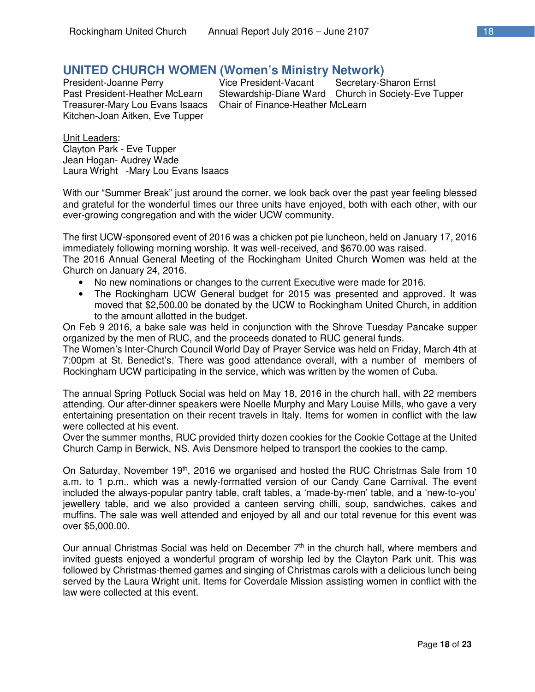# **UNITED CHURCH WOMEN (Women's Ministry Network)**

Treasurer-Mary Lou Evans Isaacs Chair of Finance-Heather McLearn Kitchen-Joan Aitken, Eve Tupper

**Secretary-Sharon Ernst** Past President-Heather McLearn Stewardship-Diane Ward Church in Society-Eve Tupper

Unit Leaders: Clayton Park - Eve Tupper Jean Hogan- Audrey Wade Laura Wright -Mary Lou Evans Isaacs

With our "Summer Break" just around the corner, we look back over the past year feeling blessed and grateful for the wonderful times our three units have enjoyed, both with each other, with our ever-growing congregation and with the wider UCW community.

The first UCW-sponsored event of 2016 was a chicken pot pie luncheon, held on January 17, 2016 immediately following morning worship. It was well-received, and \$670.00 was raised.

The 2016 Annual General Meeting of the Rockingham United Church Women was held at the Church on January 24, 2016.

- No new nominations or changes to the current Executive were made for 2016.
- The Rockingham UCW General budget for 2015 was presented and approved. It was moved that \$2,500.00 be donated by the UCW to Rockingham United Church, in addition to the amount allotted in the budget.

On Feb 9 2016, a bake sale was held in conjunction with the Shrove Tuesday Pancake supper organized by the men of RUC, and the proceeds donated to RUC general funds.

The Women's Inter-Church Council World Day of Prayer Service was held on Friday, March 4th at 7:00pm at St. Benedict's. There was good attendance overall, with a number of members of Rockingham UCW participating in the service, which was written by the women of Cuba.

The annual Spring Potluck Social was held on May 18, 2016 in the church hall, with 22 members attending. Our after-dinner speakers were Noelle Murphy and Mary Louise Mills, who gave a very entertaining presentation on their recent travels in Italy. Items for women in conflict with the law were collected at his event.

Over the summer months, RUC provided thirty dozen cookies for the Cookie Cottage at the United Church Camp in Berwick, NS. Avis Densmore helped to transport the cookies to the camp.

On Saturday, November 19<sup>th</sup>, 2016 we organised and hosted the RUC Christmas Sale from 10 a.m. to 1 p.m., which was a newly-formatted version of our Candy Cane Carnival. The event included the always-popular pantry table, craft tables, a 'made-by-men' table, and a 'new-to-you' jewellery table, and we also provided a canteen serving chilli, soup, sandwiches, cakes and muffins. The sale was well attended and enjoyed by all and our total revenue for this event was over \$5,000.00.

Our annual Christmas Social was held on December 7<sup>th</sup> in the church hall, where members and invited guests enjoyed a wonderful program of worship led by the Clayton Park unit. This was followed by Christmas-themed games and singing of Christmas carols with a delicious lunch being served by the Laura Wright unit. Items for Coverdale Mission assisting women in conflict with the law were collected at this event.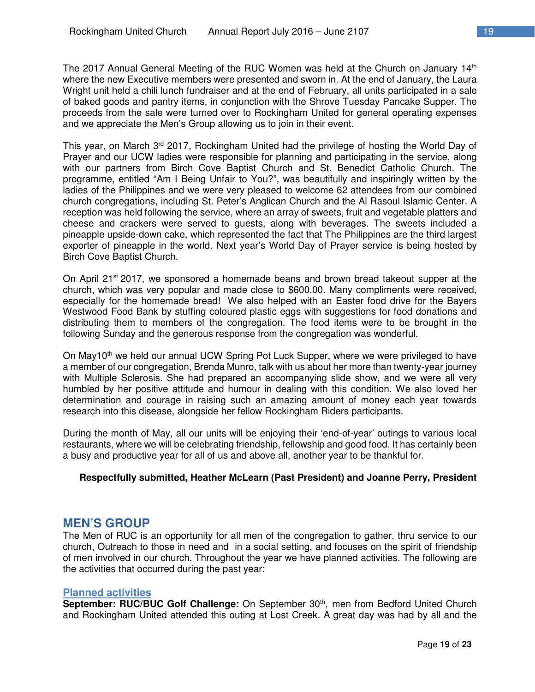The 2017 Annual General Meeting of the RUC Women was held at the Church on January 14<sup>th</sup> where the new Executive members were presented and sworn in. At the end of January, the Laura Wright unit held a chili lunch fundraiser and at the end of February, all units participated in a sale of baked goods and pantry items, in conjunction with the Shrove Tuesday Pancake Supper. The proceeds from the sale were turned over to Rockingham United for general operating expenses and we appreciate the Men's Group allowing us to join in their event.

This year, on March  $3<sup>rd</sup>$  2017, Rockingham United had the privilege of hosting the World Day of Prayer and our UCW ladies were responsible for planning and participating in the service, along with our partners from Birch Cove Baptist Church and St. Benedict Catholic Church. The programme, entitled "Am I Being Unfair to You?", was beautifully and inspiringly written by the ladies of the Philippines and we were very pleased to welcome 62 attendees from our combined church congregations, including St. Peter's Anglican Church and the Al Rasoul Islamic Center. A reception was held following the service, where an array of sweets, fruit and vegetable platters and cheese and crackers were served to guests, along with beverages. The sweets included a pineapple upside-down cake, which represented the fact that The Philippines are the third largest exporter of pineapple in the world. Next year's World Day of Prayer service is being hosted by Birch Cove Baptist Church.

On April 21<sup>st</sup> 2017, we sponsored a homemade beans and brown bread takeout supper at the church, which was very popular and made close to \$600.00. Many compliments were received, especially for the homemade bread! We also helped with an Easter food drive for the Bayers Westwood Food Bank by stuffing coloured plastic eggs with suggestions for food donations and distributing them to members of the congregation. The food items were to be brought in the following Sunday and the generous response from the congregation was wonderful.

On May10<sup>th</sup> we held our annual UCW Spring Pot Luck Supper, where we were privileged to have a member of our congregation, Brenda Munro, talk with us about her more than twenty-year journey with Multiple Sclerosis. She had prepared an accompanying slide show, and we were all very humbled by her positive attitude and humour in dealing with this condition. We also loved her determination and courage in raising such an amazing amount of money each year towards research into this disease, alongside her fellow Rockingham Riders participants.

During the month of May, all our units will be enjoying their 'end-of-year' outings to various local restaurants, where we will be celebrating friendship, fellowship and good food. It has certainly been a busy and productive year for all of us and above all, another year to be thankful for.

#### **Respectfully submitted, Heather McLearn (Past President) and Joanne Perry, President**

## **MEN'S GROUP**

The Men of RUC is an opportunity for all men of the congregation to gather, thru service to our church, Outreach to those in need and in a social setting, and focuses on the spirit of friendship of men involved in our church. Throughout the year we have planned activities. The following are the activities that occurred during the past year:

#### **Planned activities**

September: RUC/BUC Golf Challenge: On September 30<sup>th</sup>, men from Bedford United Church and Rockingham United attended this outing at Lost Creek. A great day was had by all and the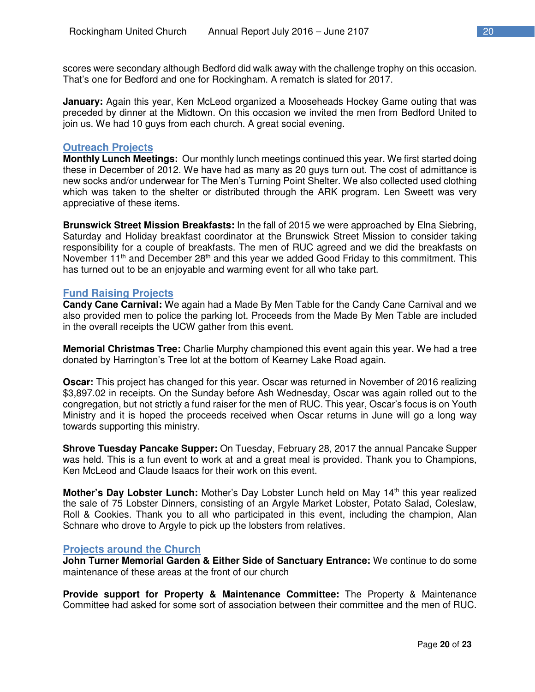scores were secondary although Bedford did walk away with the challenge trophy on this occasion. That's one for Bedford and one for Rockingham. A rematch is slated for 2017.

**January:** Again this year, Ken McLeod organized a Mooseheads Hockey Game outing that was preceded by dinner at the Midtown. On this occasion we invited the men from Bedford United to join us. We had 10 guys from each church. A great social evening.

#### **Outreach Projects**

**Monthly Lunch Meetings:** Our monthly lunch meetings continued this year. We first started doing these in December of 2012. We have had as many as 20 guys turn out. The cost of admittance is new socks and/or underwear for The Men's Turning Point Shelter. We also collected used clothing which was taken to the shelter or distributed through the ARK program. Len Sweett was very appreciative of these items.

**Brunswick Street Mission Breakfasts:** In the fall of 2015 we were approached by Elna Siebring, Saturday and Holiday breakfast coordinator at the Brunswick Street Mission to consider taking responsibility for a couple of breakfasts. The men of RUC agreed and we did the breakfasts on November 11<sup>th</sup> and December 28<sup>th</sup> and this year we added Good Friday to this commitment. This has turned out to be an enjoyable and warming event for all who take part.

#### **Fund Raising Projects**

**Candy Cane Carnival:** We again had a Made By Men Table for the Candy Cane Carnival and we also provided men to police the parking lot. Proceeds from the Made By Men Table are included in the overall receipts the UCW gather from this event.

**Memorial Christmas Tree:** Charlie Murphy championed this event again this year. We had a tree donated by Harrington's Tree lot at the bottom of Kearney Lake Road again.

**Oscar:** This project has changed for this year. Oscar was returned in November of 2016 realizing \$3,897.02 in receipts. On the Sunday before Ash Wednesday, Oscar was again rolled out to the congregation, but not strictly a fund raiser for the men of RUC. This year, Oscar's focus is on Youth Ministry and it is hoped the proceeds received when Oscar returns in June will go a long way towards supporting this ministry.

**Shrove Tuesday Pancake Supper:** On Tuesday, February 28, 2017 the annual Pancake Supper was held. This is a fun event to work at and a great meal is provided. Thank you to Champions, Ken McLeod and Claude Isaacs for their work on this event.

**Mother's Day Lobster Lunch:** Mother's Day Lobster Lunch held on May 14<sup>th</sup> this year realized the sale of 75 Lobster Dinners, consisting of an Argyle Market Lobster, Potato Salad, Coleslaw, Roll & Cookies. Thank you to all who participated in this event, including the champion, Alan Schnare who drove to Argyle to pick up the lobsters from relatives.

#### **Projects around the Church**

**John Turner Memorial Garden & Either Side of Sanctuary Entrance:** We continue to do some maintenance of these areas at the front of our church

**Provide support for Property & Maintenance Committee:** The Property & Maintenance Committee had asked for some sort of association between their committee and the men of RUC.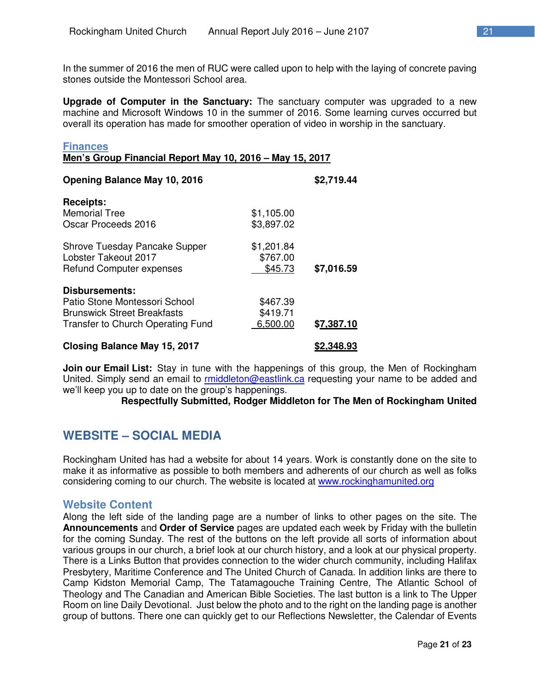In the summer of 2016 the men of RUC were called upon to help with the laying of concrete paving stones outside the Montessori School area.

**Upgrade of Computer in the Sanctuary:** The sanctuary computer was upgraded to a new machine and Microsoft Windows 10 in the summer of 2016. Some learning curves occurred but overall its operation has made for smoother operation of video in worship in the sanctuary.

| <b>Finances</b><br>Men's Group Financial Report May 10, 2016 - May 15, 2017                                                |                                   |            |  |
|----------------------------------------------------------------------------------------------------------------------------|-----------------------------------|------------|--|
| <b>Opening Balance May 10, 2016</b>                                                                                        |                                   | \$2,719.44 |  |
| <b>Receipts:</b><br><b>Memorial Tree</b><br>Oscar Proceeds 2016                                                            | \$1,105.00<br>\$3,897.02          |            |  |
| Shrove Tuesday Pancake Supper<br>Lobster Takeout 2017<br><b>Refund Computer expenses</b>                                   | \$1,201.84<br>\$767.00<br>\$45.73 | \$7,016.59 |  |
| Disbursements:<br>Patio Stone Montessori School<br><b>Brunswick Street Breakfasts</b><br>Transfer to Church Operating Fund | \$467.39<br>\$419.71<br>6,500.00  | \$7,387.10 |  |
| <b>Closing Balance May 15, 2017</b>                                                                                        |                                   | \$2,348.93 |  |

**Join our Email List:** Stay in tune with the happenings of this group, the Men of Rockingham United. Simply send an email to rmiddleton@eastlink.ca requesting your name to be added and we'll keep you up to date on the group's happenings.

**Respectfully Submitted, Rodger Middleton for The Men of Rockingham United** 

# **WEBSITE – SOCIAL MEDIA**

Rockingham United has had a website for about 14 years. Work is constantly done on the site to make it as informative as possible to both members and adherents of our church as well as folks considering coming to our church. The website is located at www.rockinghamunited.org

## **Website Content**

Along the left side of the landing page are a number of links to other pages on the site. The **Announcements** and **Order of Service** pages are updated each week by Friday with the bulletin for the coming Sunday. The rest of the buttons on the left provide all sorts of information about various groups in our church, a brief look at our church history, and a look at our physical property. There is a Links Button that provides connection to the wider church community, including Halifax Presbytery, Maritime Conference and The United Church of Canada. In addition links are there to Camp Kidston Memorial Camp, The Tatamagouche Training Centre, The Atlantic School of Theology and The Canadian and American Bible Societies. The last button is a link to The Upper Room on line Daily Devotional. Just below the photo and to the right on the landing page is another group of buttons. There one can quickly get to our Reflections Newsletter, the Calendar of Events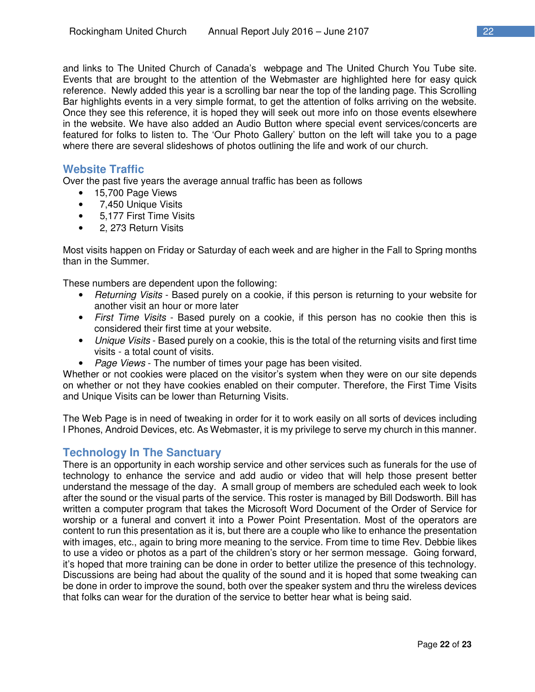and links to The United Church of Canada's webpage and The United Church You Tube site. Events that are brought to the attention of the Webmaster are highlighted here for easy quick reference. Newly added this year is a scrolling bar near the top of the landing page. This Scrolling Bar highlights events in a very simple format, to get the attention of folks arriving on the website. Once they see this reference, it is hoped they will seek out more info on those events elsewhere in the website. We have also added an Audio Button where special event services/concerts are featured for folks to listen to. The 'Our Photo Gallery' button on the left will take you to a page where there are several slideshows of photos outlining the life and work of our church.

# **Website Traffic**

Over the past five years the average annual traffic has been as follows

- 15,700 Page Views
- 7,450 Unique Visits
- 5,177 First Time Visits
- 2, 273 Return Visits

Most visits happen on Friday or Saturday of each week and are higher in the Fall to Spring months than in the Summer.

These numbers are dependent upon the following:

- *Returning Visits* Based purely on a cookie, if this person is returning to your website for another visit an hour or more later
- *First Time Visits* Based purely on a cookie, if this person has no cookie then this is considered their first time at your website.
- *Unique Visits* Based purely on a cookie, this is the total of the returning visits and first time visits - a total count of visits.
- *Page Views* The number of times your page has been visited.

Whether or not cookies were placed on the visitor's system when they were on our site depends on whether or not they have cookies enabled on their computer. Therefore, the First Time Visits and Unique Visits can be lower than Returning Visits.

The Web Page is in need of tweaking in order for it to work easily on all sorts of devices including I Phones, Android Devices, etc. As Webmaster, it is my privilege to serve my church in this manner.

## **Technology In The Sanctuary**

There is an opportunity in each worship service and other services such as funerals for the use of technology to enhance the service and add audio or video that will help those present better understand the message of the day. A small group of members are scheduled each week to look after the sound or the visual parts of the service. This roster is managed by Bill Dodsworth. Bill has written a computer program that takes the Microsoft Word Document of the Order of Service for worship or a funeral and convert it into a Power Point Presentation. Most of the operators are content to run this presentation as it is, but there are a couple who like to enhance the presentation with images, etc., again to bring more meaning to the service. From time to time Rev. Debbie likes to use a video or photos as a part of the children's story or her sermon message. Going forward, it's hoped that more training can be done in order to better utilize the presence of this technology. Discussions are being had about the quality of the sound and it is hoped that some tweaking can be done in order to improve the sound, both over the speaker system and thru the wireless devices that folks can wear for the duration of the service to better hear what is being said.